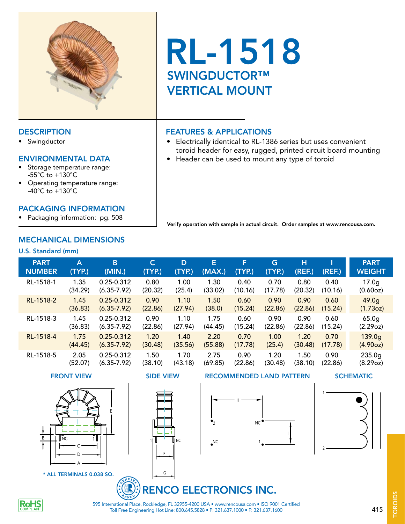

• Swingductor

#### ENVIRONMENTAL DATA

- Storage temperature range: -55°C to +130°C
- Operating temperature range: -40°C to +130°C

#### PACKAGING INFORMATION

• Packaging information: pg. 508

## MECHANICAL DIMENSIONS

#### U.S. Standard (mm)

| <b>PART</b>   | Α       | B               | $\mathsf{C}$ | D       | E       | F       | G       | н       | (REF.)  | <b>PART</b>        |
|---------------|---------|-----------------|--------------|---------|---------|---------|---------|---------|---------|--------------------|
| <b>NUMBER</b> | (TYP.)  | (MIN.)          | (TYP.)       | (TYP.)  | (MAX.)  | (TYP.)  | (TYP.)  | (REF.)  |         | <b>WEIGHT</b>      |
| RL-1518-1     | 1.35    | 0.25-0.312      | 0.80         | 1.00    | 1.30    | 0.40    | 0.70    | 0.80    | 0.40    | 17.0 <sub>g</sub>  |
|               | (34.29) | $(6.35 - 7.92)$ | (20.32)      | (25.4)  | (33.02) | (10.16) | (17.78) | (20.32) | (10.16) | (0.60oz)           |
| RL-1518-2     | 1.45    | $0.25 - 0.312$  | 0.90         | 1.10    | 1.50    | 0.60    | 0.90    | 0.90    | 0.60    | 49.0 <sub>g</sub>  |
|               | (36.83) | $(6.35 - 7.92)$ | (22.86)      | (27.94) | (38.0)  | (15.24) | (22.86) | (22.86) | (15.24) | (1.73oz)           |
| RL-1518-3     | 1.45    | $0.25 - 0.312$  | 0.90         | 1.10    | 1.75    | 0.60    | 0.90    | 0.90    | 0.60    | 65.0 <sub>g</sub>  |
|               | (36.83) | $(6.35 - 7.92)$ | (22.86)      | (27.94) | (44.45) | (15.24) | (22.86) | (22.86) | (15.24) | (2.29oz)           |
| RL-1518-4     | 1.75    | $0.25 - 0.312$  | 1.20         | 1.40    | 2.20    | 0.70    | 1.00    | 1.20    | 0.70    | 139.0 <sub>g</sub> |
|               | (44.45) | $(6.35 - 7.92)$ | (30.48)      | (35.56) | (55.88) | (17.78) | (25.4)  | (30.48) | (17.78) | (4.90oz)           |
| RL-1518-5     | 2.05    | 0.25-0.312      | 1.50         | 1.70    | 2.75    | 0.90    | 1.20    | 1.50    | 0.90    | 235.0 <sub>g</sub> |
|               | (52.07) | $(6.35 - 7.92)$ | (38.10)      | (43.18) | (69.85) | (22.86) | (30.48) | (38.10) | (22.86) | (8.29oz)           |



\* ALL TERMINALS 0.038 SQ.

1 **II**NC

F

G

## FRONT VIEW SIDE VIEW RECOMMENDED LAND PATTERN SCHEMATIC



1

2

# RENCO ELECTRONICS INC.



Toll Free Engineering Hot Line: 800.645.5828 • P: 321.637.1000 • F: 321.637.1600 595 International Place, Rockledge, FL 32955-4200 USA • www.rencousa.com • ISO 9001 Certified 415

# VERTICAL MOUNT

RL-1518

### DESCRIPTION **FEATURES & APPLICATIONS**

SWINGDUCTOR™

- Electrically identical to RL-1386 series but uses convenient toroid header for easy, rugged, printed circuit board mounting
- Header can be used to mount any type of toroid

Verify operation with sample in actual circuit. Order samples at www.rencousa.com.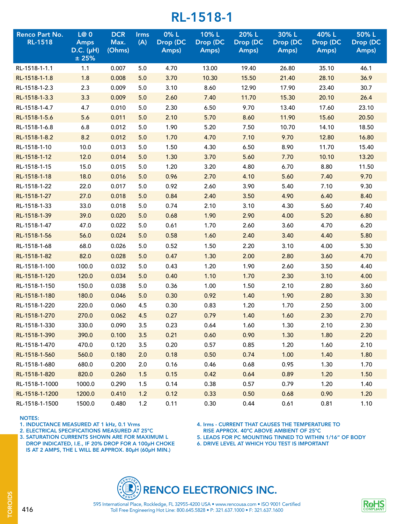| <b>Renco Part No.</b><br><b>RL-1518</b> | L@0<br><b>Amps</b><br>$D.C.$ ( $\mu$ H)<br>±25% | <b>DCR</b><br>Max.<br>(Ohms) | <b>Irms</b><br>(A) | 0%L<br>Drop (DC<br>Amps) | 10%L<br>Drop (DC<br>Amps) | 20% L<br>Drop (DC<br>Amps) | 30%L<br>Drop (DC<br>Amps) | 40% L<br>Drop (DC<br>Amps) | 50%L<br>Drop (DC<br>Amps) |
|-----------------------------------------|-------------------------------------------------|------------------------------|--------------------|--------------------------|---------------------------|----------------------------|---------------------------|----------------------------|---------------------------|
| RL-1518-1-1.1                           | 1.1                                             | 0.007                        | 5.0                | 4.70                     | 13.00                     | 19.40                      | 26.80                     | 35.10                      | 46.1                      |
| RL-1518-1-1.8                           | 1.8                                             | 0.008                        | 5.0                | 3.70                     | 10.30                     | 15.50                      | 21.40                     | 28.10                      | 36.9                      |
| RL-1518-1-2.3                           | 2.3                                             | 0.009                        | 5.0                | 3.10                     | 8.60                      | 12.90                      | 17.90                     | 23.40                      | 30.7                      |
| RL-1518-1-3.3                           | 3.3                                             | 0.009                        | 5.0                | 2.60                     | 7.40                      | 11.70                      | 15.30                     | 20.10                      | 26.4                      |
| RL-1518-1-4.7                           | 4.7                                             | 0.010                        | 5.0                | 2.30                     | 6.50                      | 9.70                       | 13.40                     | 17.60                      | 23.10                     |
| RL-1518-1-5.6                           | 5.6                                             | 0.011                        | 5.0                | 2.10                     | 5.70                      | 8.60                       | 11.90                     | 15.60                      | 20.50                     |
| RL-1518-1-6.8                           | 6.8                                             | 0.012                        | 5.0                | 1.90                     | 5.20                      | 7.50                       | 10.70                     | 14.10                      | 18.50                     |
| RL-1518-1-8.2                           | 8.2                                             | 0.012                        | 5.0                | 1.70                     | 4.70                      | 7.10                       | 9.70                      | 12.80                      | 16.80                     |
| RL-1518-1-10                            | 10.0                                            | 0.013                        | 5.0                | 1.50                     | 4.30                      | 6.50                       | 8.90                      | 11.70                      | 15.40                     |
| RL-1518-1-12                            | 12.0                                            | 0.014                        | 5.0                | 1.30                     | 3.70                      | 5.60                       | 7.70                      | 10.10                      | 13.20                     |
| RL-1518-1-15                            | 15.0                                            | 0.015                        | 5.0                | 1.20                     | 3.20                      | 4.80                       | 6.70                      | 8.80                       | 11.50                     |
| RL-1518-1-18                            | 18.0                                            | 0.016                        | 5.0                | 0.96                     | 2.70                      | 4.10                       | 5.60                      | 7.40                       | 9.70                      |
| RL-1518-1-22                            | 22.0                                            | 0.017                        | 5.0                | 0.92                     | 2.60                      | 3.90                       | 5.40                      | 7.10                       | 9.30                      |
| RL-1518-1-27                            | 27.0                                            | 0.018                        | 5.0                | 0.84                     | 2.40                      | 3.50                       | 4.90                      | 6.40                       | 8.40                      |
| RL-1518-1-33                            | 33.0                                            | 0.018                        | 5.0                | 0.74                     | 2.10                      | 3.10                       | 4.30                      | 5.60                       | 7.40                      |
| RL-1518-1-39                            | 39.0                                            | 0.020                        | 5.0                | 0.68                     | 1.90                      | 2.90                       | 4.00                      | 5.20                       | 6.80                      |
| RL-1518-1-47                            | 47.0                                            | 0.022                        | 5.0                | 0.61                     | 1.70                      | 2.60                       | 3.60                      | 4.70                       | 6.20                      |
| RL-1518-1-56                            | 56.0                                            | 0.024                        | 5.0                | 0.58                     | 1.60                      | 2.40                       | 3.40                      | 4.40                       | 5.80                      |
| RL-1518-1-68                            | 68.0                                            | 0.026                        | 5.0                | 0.52                     | 1.50                      | 2.20                       | 3.10                      | 4.00                       | 5.30                      |
| RL-1518-1-82                            | 82.0                                            | 0.028                        | 5.0                | 0.47                     | 1.30                      | 2.00                       | 2.80                      | 3.60                       | 4.70                      |
| RL-1518-1-100                           | 100.0                                           | 0.032                        | 5.0                | 0.43                     | 1.20                      | 1.90                       | 2.60                      | 3.50                       | 4.40                      |
| RL-1518-1-120                           | 120.0                                           | 0.034                        | 5.0                | 0.40                     | 1.10                      | 1.70                       | 2.30                      | 3.10                       | 4.00                      |
| RL-1518-1-150                           | 150.0                                           | 0.038                        | 5.0                | 0.36                     | 1.00                      | 1.50                       | 2.10                      | 2.80                       | 3.60                      |
| RL-1518-1-180                           | 180.0                                           | 0.046                        | 5.0                | 0.30                     | 0.92                      | 1.40                       | 1.90                      | 2.80                       | 3.30                      |
| RL-1518-1-220                           | 220.0                                           | 0.060                        | 4.5                | 0.30                     | 0.83                      | 1.20                       | 1.70                      | 2.50                       | 3.00                      |
| RL-1518-1-270                           | 270.0                                           | 0.062                        | 4.5                | 0.27                     | 0.79                      | 1.40                       | 1.60                      | 2.30                       | 2.70                      |
| RL-1518-1-330                           | 330.0                                           | 0.090                        | 3.5                | 0.23                     | 0.64                      | 1.60                       | 1.30                      | 2.10                       | 2.30                      |
| RL-1518-1-390                           | 390.0                                           | 0.100                        | 3.5                | 0.21                     | 0.60                      | 0.90                       | 1.30                      | 1.80                       | 2.20                      |
| RL-1518-1-470                           | 470.0                                           | 0.120                        | 3.5                | 0.20                     | 0.57                      | 0.85                       | 1.20                      | 1.60                       | 2.10                      |
| RL-1518-1-560                           | 560.0                                           | 0.180                        | 2.0                | 0.18                     | 0.50                      | 0.74                       | 1.00                      | 1.40                       | 1.80                      |
| RL-1518-1-680                           | 680.0                                           | 0.200                        | 2.0                | 0.16                     | 0.46                      | 0.68                       | 0.95                      | 1.30                       | 1.70                      |
| RL-1518-1-820                           | 820.0                                           | 0.260                        | 1.5                | 0.15                     | 0.42                      | 0.64                       | 0.89                      | 1.20                       | 1.50                      |
| RL-1518-1-1000                          | 1000.0                                          | 0.290                        | 1.5                | 0.14                     | 0.38                      | 0.57                       | 0.79                      | 1.20                       | 1.40                      |
| RL-1518-1-1200                          | 1200.0                                          | 0.410                        | 1.2                | 0.12                     | 0.33                      | 0.50                       | 0.68                      | 0.90                       | 1.20                      |
| RL-1518-1-1500                          | 1500.0                                          | 0.480                        | 1.2                | 0.11                     | 0.30                      | 0.44                       | 0.61                      | 0.81                       | 1.10                      |

#### NOTES:

1. INDUCTANCE MEASURED AT 1 kHz, 0.1 Vrms

2. ELECTRICAL SPECIFICATIONS MEASURED AT 25ºC

3. SATURATION CURRENTS SHOWN ARE FOR MAXIMUM L DROP INDICATED, I.E., IF 20% DROP FOR A 100µH CHOKE IS AT 2 AMPS, THE L WILL BE APPROX. 80µH (60µH MIN.)

4. Irms - CURRENT THAT CAUSES THE TEMPERATURE TO RISE APPROX. 40ºC ABOVE AMBIENT OF 25ºC

5. LEADS FOR PC MOUNTING TINNED TO WITHIN 1/16" OF BODY

6. DRIVE LEVEL AT WHICH YOU TEST IS IMPORTANT





Toll Free Engineering Hot Line: 800.645.5828 • P: 321.637.1000 • F: 321.637.1600 595 International Place, Rockledge, FL 32955-4200 USA • www.rencousa.com • ISO 9001 Certified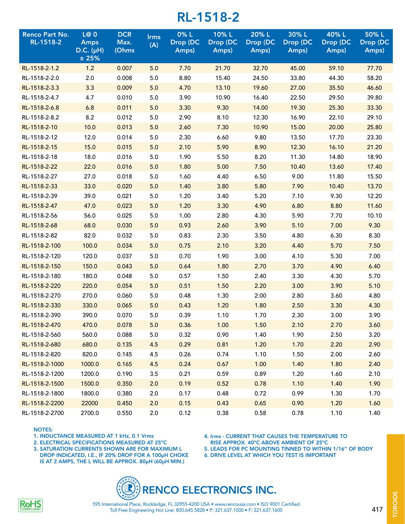| <b>Renco Part No.</b><br>RL-1518-2 | L@0<br><b>Amps</b><br>$D.C.$ ( $\mu$ H)<br>±25% | <b>DCR</b><br>Max.<br>(Ohms | <b>Irms</b><br>(A) | 0%L<br>Drop (DC<br>Amps) | 10%L<br>Drop (DC<br>Amps) | 20% L<br>Drop (DC<br>Amps) | 30%L<br>Drop (DC<br>Amps) | 40% L<br>Drop (DC<br>Amps) | 50%L<br>Drop (DC<br>Amps) |
|------------------------------------|-------------------------------------------------|-----------------------------|--------------------|--------------------------|---------------------------|----------------------------|---------------------------|----------------------------|---------------------------|
| RL-1518-2-1.2                      | 1.2                                             | 0.007                       | 5.0                | 7.70                     | 21.70                     | 32.70                      | 45.00                     | 59.10                      | 77.70                     |
| RL-1518-2-2.0                      | 2.0                                             | 0.008                       | 5.0                | 8.80                     | 15.40                     | 24.50                      | 33.80                     | 44.30                      | 58.20                     |
| RL-1518-2-3.3                      | 3.3                                             | 0.009                       | 5.0                | 4.70                     | 13.10                     | 19.60                      | 27.00                     | 35.50                      | 46.60                     |
| RL-1518-2-4.7                      | 4.7                                             | 0.010                       | 5.0                | 3.90                     | 10.90                     | 16.40                      | 22.50                     | 29.50                      | 39.80                     |
| RL-1518-2-6.8                      | 6.8                                             | 0.011                       | 5.0                | 3.30                     | 9.30                      | 14.00                      | 19.30                     | 25.30                      | 33.30                     |
| RL-1518-2-8.2                      | 8.2                                             | 0.012                       | 5.0                | 2.90                     | 8.10                      | 12.30                      | 16.90                     | 22.10                      | 29.10                     |
| RL-1518-2-10                       | 10.0                                            | 0.013                       | 5.0                | 2.60                     | 7.30                      | 10.90                      | 15.00                     | 20.00                      | 25.80                     |
| RL-1518-2-12                       | 12.0                                            | 0.014                       | 5.0                | 2.30                     | 6.60                      | 9.80                       | 13.50                     | 17.70                      | 23.30                     |
| RL-1518-2-15                       | 15.0                                            | 0.015                       | 5.0                | 2.10                     | 5.90                      | 8.90                       | 12.30                     | 16.10                      | 21.20                     |
| RL-1518-2-18                       | 18.0                                            | 0.016                       | 5.0                | 1.90                     | 5.50                      | 8.20                       | 11.30                     | 14.80                      | 18.90                     |
| RL-1518-2-22                       | 22.0                                            | 0.016                       | 5.0                | 1.80                     | 5.00                      | 7.50                       | 10.40                     | 13.60                      | 17.40                     |
| RL-1518-2-27                       | 27.0                                            | 0.018                       | 5.0                | 1.60                     | 4.40                      | 6.50                       | 9.00                      | 11.80                      | 15.50                     |
| RL-1518-2-33                       | 33.0                                            | 0.020                       | 5.0                | 1.40                     | 3.80                      | 5.80                       | 7.90                      | 10.40                      | 13.70                     |
| RL-1518-2-39                       | 39.0                                            | 0.021                       | 5.0                | 1.20                     | 3.40                      | 5.20                       | 7.10                      | 9.30                       | 12.20                     |
| RL-1518-2-47                       | 47.0                                            | 0.023                       | 5.0                | 1.20                     | 3.30                      | 4.90                       | 6.80                      | 8.80                       | 11.60                     |
| RL-1518-2-56                       | 56.0                                            | 0.025                       | 5.0                | 1.00                     | 2.80                      | 4.30                       | 5.90                      | 7.70                       | 10.10                     |
| RL-1518-2-68                       | 68.0                                            | 0.030                       | 5.0                | 0.93                     | 2.60                      | 3.90                       | 5.10                      | 7.00                       | 9.30                      |
| RL-1518-2-82                       | 82.0                                            | 0.032                       | 5.0                | 0.83                     | 2.30                      | 3.50                       | 4.80                      | 6.30                       | 8.30                      |
| RL-1518-2-100                      | 100.0                                           | 0.034                       | 5.0                | 0.75                     | 2.10                      | 3.20                       | 4.40                      | 5.70                       | 7.50                      |
| RL-1518-2-120                      | 120.0                                           | 0.037                       | 5.0                | 0.70                     | 1.90                      | 3.00                       | 4.10                      | 5.30                       | 7.00                      |
| RL-1518-2-150                      | 150.0                                           | 0.043                       | 5.0                | 0.64                     | 1.80                      | 2.70                       | 3.70                      | 4.90                       | 6.40                      |
| RL-1518-2-180                      | 180.0                                           | 0.048                       | 5.0                | 0.57                     | 1.50                      | 2.40                       | 3.30                      | 4.30                       | 5.70                      |
| RL-1518-2-220                      | 220.0                                           | 0.054                       | 5.0                | 0.51                     | 1.50                      | 2.20                       | 3.00                      | 3.90                       | 5.10                      |
| RL-1518-2-270                      | 270.0                                           | 0.060                       | 5.0                | 0.48                     | 1.30                      | 2.00                       | 2.80                      | 3.60                       | 4.80                      |
| RL-1518-2-330                      | 330.0                                           | 0.065                       | 5.0                | 0.43                     | 1.20                      | 1.80                       | 2.50                      | 3.30                       | 4.30                      |
| RL-1518-2-390                      | 390.0                                           | 0.070                       | 5.0                | 0.39                     | 1.10                      | 1.70                       | 2.30                      | 3.00                       | 3.90                      |
| RL-1518-2-470                      | 470.0                                           | 0.078                       | 5.0                | 0.36                     | 1.00                      | 1.50                       | 2.10                      | 2.70                       | 3.60                      |
| RL-1518-2-560                      | 560.0                                           | 0.088                       | 5.0                | 0.32                     | 0.90                      | 1.40                       | 1.90                      | 2.50                       | 3.20                      |
| RL-1518-2-680                      | 680.0                                           | 0.135                       | 4.5                | 0.29                     | 0.81                      | 1.20                       | 1.70                      | 2.20                       | 2.90                      |
| RL-1518-2-820                      | 820.0                                           | 0.145                       | 4.5                | 0.26                     | 0.74                      | 1.10                       | 1.50                      | 2.00                       | 2.60                      |
| RL-1518-2-1000                     | 1000.0                                          | 0.165                       | 4.5                | 0.24                     | 0.67                      | 1.00                       | 1.40                      | 1.80                       | 2.40                      |
| RL-1518-2-1200                     | 1200.0                                          | 0.190                       | 3.5                | 0.21                     | 0.59                      | 0.89                       | 1.20                      | 1.60                       | 2.10                      |
| RL-1518-2-1500                     | 1500.0                                          | 0.350                       | 2.0                | 0.19                     | 0.52                      | 0.78                       | 1.10                      | 1.40                       | 1.90                      |
| RL-1518-2-1800                     | 1800.0                                          | 0.380                       | 2.0                | 0.17                     | 0.48                      | 0.72                       | 0.99                      | 1.30                       | 1.70                      |
| RL-1518-2-2200                     | 22000                                           | 0.450                       | 2.0                | 0.15                     | 0.43                      | 0.65                       | 0.90                      | 1.20                       | 1.60                      |
| RL-1518-2-2700                     | 2700.0                                          | 0.550                       | 2.0                | 0.12                     | 0.38                      | 0.58                       | 0.78                      | 1.10                       | 1.40                      |

#### NOTES:

1. INDUCTANCE MEASURED AT 1 kHz, 0.1 Vrms

2. ELECTRICAL SPECIFICATIONS MEASURED AT 25ºC

3. SATURATION CURRENTS SHOWN ARE FOR MAXIMUM L DROP INDICATED, I.E., IF 20% DROP FOR A 100µH CHOKE IS AT 2 AMPS, THE L WILL BE APPROX. 80µH (60µH MIN.)

4. Irms - CURRENT THAT CAUSES THE TEMPERATURE TO

RISE APPROX. 40ºC ABOVE AMBIENT OF 25ºC

5. LEADS FOR PC MOUNTING TINNED TO WITHIN 1/16" OF BODY

6. DRIVE LEVEL AT WHICH YOU TEST IS IMPORTANT





Toll Free Engineering Hot Line: 800.645.5828 • P: 321.637.1000 • F: 321.637.1600 595 International Place, Rockledge, FL 32955-4200 USA • www.rencousa.com • ISO 9001 Certified **TOROIDS** TOROIDS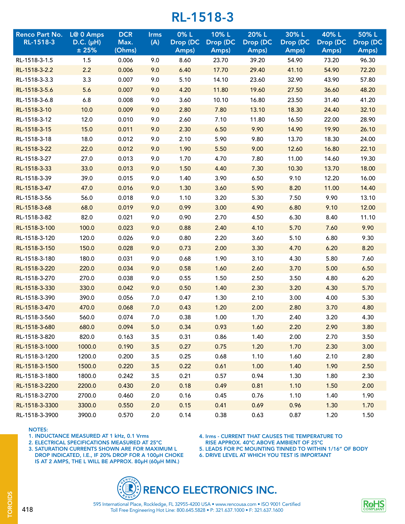| Renco Part No.<br>RL-1518-3 | L@ 0 Amps              | <b>DCR</b>     | <b>Irms</b> | 0%L               | 10%L              | 20% L             | 30%L              | 40%L              | 50%L              |
|-----------------------------|------------------------|----------------|-------------|-------------------|-------------------|-------------------|-------------------|-------------------|-------------------|
|                             | $D.C. (\mu H)$<br>±25% | Max.<br>(Ohms) | (A)         | Drop (DC<br>Amps) | Drop (DC<br>Amps) | Drop (DC<br>Amps) | Drop (DC<br>Amps) | Drop (DC<br>Amps) | Drop (DC<br>Amps) |
| RL-1518-3-1.5               | 1.5                    | 0.006          | 9.0         | 8.60              | 23.70             | 39.20             | 54.90             | 73.20             | 96.30             |
| RL-1518-3-2.2               | 2.2                    | 0.006          | 9.0         | 6.40              | 17.70             | 29.40             | 41.10             | 54.90             | 72.20             |
| RL-1518-3-3.3               | 3.3                    | 0.007          | 9.0         | 5.10              | 14.10             | 23.60             | 32.90             | 43.90             | 57.80             |
| RL-1518-3-5.6               | 5.6                    | 0.007          | 9.0         | 4.20              | 11.80             | 19.60             | 27.50             | 36.60             | 48.20             |
| RL-1518-3-6.8               | 6.8                    | 0.008          | 9.0         | 3.60              | 10.10             | 16.80             | 23.50             | 31.40             | 41.20             |
| RL-1518-3-10                | 10.0                   | 0.009          | 9.0         | 2.80              | 7.80              | 13.10             | 18.30             | 24.40             | 32.10             |
| RL-1518-3-12                | 12.0                   | 0.010          | 9.0         | 2.60              | 7.10              | 11.80             | 16.50             | 22.00             | 28.90             |
| RL-1518-3-15                | 15.0                   | 0.011          | 9.0         | 2.30              | 6.50              | 9.90              | 14.90             | 19.90             | 26.10             |
| RL-1518-3-18                | 18.0                   | 0.012          | 9.0         | 2.10              | 5.90              | 9.80              | 13.70             | 18.30             | 24.00             |
| RL-1518-3-22                | 22.0                   | 0.012          | 9.0         | 1.90              | 5.50              | 9.00              | 12.60             | 16.80             | 22.10             |
| RL-1518-3-27                | 27.0                   | 0.013          | 9.0         | 1.70              | 4.70              | 7.80              | 11.00             | 14.60             | 19.30             |
| RL-1518-3-33                | 33.0                   | 0.013          | 9.0         | 1.50              | 4.40              | 7.30              | 10.30             | 13.70             | 18.00             |
| RL-1518-3-39                | 39.0                   | 0.015          | 9.0         | 1.40              | 3.90              | 6.50              | 9.10              | 12.20             | 16.00             |
| RL-1518-3-47                | 47.0                   | 0.016          | 9.0         | 1.30              | 3.60              | 5.90              | 8.20              | 11.00             | 14.40             |
| RL-1518-3-56                | 56.0                   | 0.018          | 9.0         | 1.10              | 3.20              | 5.30              | 7.50              | 9.90              | 13.10             |
| RL-1518-3-68                | 68.0                   | 0.019          | 9.0         | 0.99              | 3.00              | 4.90              | 6.80              | 9.10              | 12.00             |
| RL-1518-3-82                | 82.0                   | 0.021          | 9.0         | 0.90              | 2.70              | 4.50              | 6.30              | 8.40              | 11.10             |
| RL-1518-3-100               | 100.0                  | 0.023          | 9.0         | 0.88              | 2.40              | 4.10              | 5.70              | 7.60              | 9.90              |
| RL-1518-3-120               | 120.0                  | 0.026          | 9.0         | 0.80              | 2.20              | 3.60              | 5.10              | 6.80              | 9.30              |
| RL-1518-3-150               | 150.0                  | 0.028          | 9.0         | 0.73              | 2.00              | 3.30              | 4.70              | 6.20              | 8.20              |
| RL-1518-3-180               | 180.0                  | 0.031          | 9.0         | 0.68              | 1.90              | 3.10              | 4.30              | 5.80              | 7.60              |
| RL-1518-3-220               | 220.0                  | 0.034          | 9.0         | 0.58              | 1.60              | 2.60              | 3.70              | 5.00              | 6.50              |
| RL-1518-3-270               | 270.0                  | 0.038          | 9.0         | 0.55              | 1.50              | 2.50              | 3.50              | 4.80              | 6.20              |
| RL-1518-3-330               | 330.0                  | 0.042          | 9.0         | 0.50              | 1.40              | 2.30              | 3.20              | 4.30              | 5.70              |
| RL-1518-3-390               | 390.0                  | 0.056          | 7.0         | 0.47              | 1.30              | 2.10              | 3.00              | 4.00              | 5.30              |
| RL-1518-3-470               | 470.0                  | 0.068          | 7.0         | 0.43              | 1.20              | 2.00              | 2.80              | 3.70              | 4.80              |
| RL-1518-3-560               | 560.0                  | 0.074          | 7.0         | 0.38              | 1.00              | 1.70              | 2.40              | 3.20              | 4.30              |
| RL-1518-3-680               | 680.0                  | 0.094          | 5.0         | 0.34              | 0.93              | 1.60              | 2.20              | 2.90              | 3.80              |
| RL-1518-3-820               | 820.0                  | 0.163          | 3.5         | 0.31              | 0.86              | 1.40              | 2.00              | 2.70              | 3.50              |
| RL-1518-3-1000              | 1000.0                 | 0.190          | 3.5         | 0.27              | 0.75              | 1.20              | 1.70              | 2.30              | 3.00              |
| RL-1518-3-1200              | 1200.0                 | 0.200          | 3.5         | 0.25              | 0.68              | 1.10              | 1.60              | 2.10              | 2.80              |
| RL-1518-3-1500              | 1500.0                 | 0.220          | 3.5         | 0.22              | 0.61              | 1.00              | 1.40              | 1.90              | 2.50              |
| RL-1518-3-1800              | 1800.0                 | 0.242          | 3.5         | 0.21              | 0.57              | 0.94              | 1.30              | 1.80              | 2.30              |
| RL-1518-3-2200              | 2200.0                 | 0.430          | 2.0         | 0.18              | 0.49              | 0.81              | 1.10              | 1.50              | 2.00              |
| RL-1518-3-2700              | 2700.0                 | 0.460          | 2.0         | 0.16              | 0.45              | 0.76              | 1.10              | 1.40              | 1.90              |
| RL-1518-3-3300              | 3300.0                 | 0.550          | 2.0         | 0.15              | 0.41              | 0.69              | 0.96              | 1.30              | 1.70              |
| RL-1518-3-3900              | 3900.0                 | 0.570          | 2.0         | 0.14              | 0.38              | 0.63              | 0.87              | 1.20              | 1.50              |

#### NOTES:

- 1. INDUCTANCE MEASURED AT 1 kHz, 0.1 Vrms
- 2. ELECTRICAL SPECIFICATIONS MEASURED AT 25ºC
- 3. SATURATION CURRENTS SHOWN ARE FOR MAXIMUM L DROP INDICATED, I.E., IF 20% DROP FOR A 100µH CHOKE IS AT 2 AMPS, THE L WILL BE APPROX. 80µH (60µH MIN.)

4. Irms - CURRENT THAT CAUSES THE TEMPERATURE TO

- RISE APPROX. 40ºC ABOVE AMBIENT OF 25ºC
- 5. LEADS FOR PC MOUNTING TINNED TO WITHIN 1/16" OF BODY
- 6. DRIVE LEVEL AT WHICH YOU TEST IS IMPORTANT





Toll Free Engineering Hot Line: 800.645.5828 • P: 321.637.1000 • F: 321.637.1600 595 International Place, Rockledge, FL 32955-4200 USA • www.rencousa.com • ISO 9001 Certified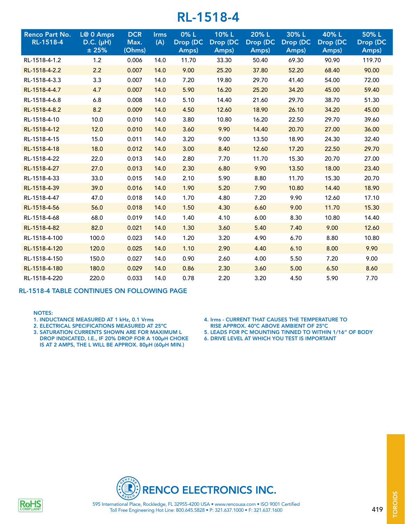| <b>Renco Part No.</b><br>RL-1518-4 | L@ 0 Amps<br>$D.C. (\muH)$<br>± 25% | <b>DCR</b><br>Max.<br>(Ohms) | <b>Irms</b><br>(A) | 0% L<br>Drop (DC<br>Amps) | 10%L<br>Drop (DC<br>Amps) | 20% L<br>Drop (DC<br>Amps) | 30%L<br>Drop (DC<br>Amps) | 40%L<br>Drop (DC<br>Amps) | 50%L<br>Drop (DC<br>Amps) |
|------------------------------------|-------------------------------------|------------------------------|--------------------|---------------------------|---------------------------|----------------------------|---------------------------|---------------------------|---------------------------|
| RL-1518-4-1.2                      | 1.2                                 | 0.006                        | 14.0               | 11.70                     | 33.30                     | 50.40                      | 69.30                     | 90.90                     | 119.70                    |
| RL-1518-4-2.2                      | 2.2                                 | 0.007                        | 14.0               | 9.00                      | 25.20                     | 37.80                      | 52.20                     | 68.40                     | 90.00                     |
| RL-1518-4-3.3                      | 3.3                                 | 0.007                        | 14.0               | 7.20                      | 19.80                     | 29.70                      | 41.40                     | 54.00                     | 72.00                     |
| RL-1518-4-4.7                      | 4.7                                 | 0.007                        | 14.0               | 5.90                      | 16.20                     | 25.20                      | 34.20                     | 45.00                     | 59.40                     |
| RL-1518-4-6.8                      | 6.8                                 | 0.008                        | 14.0               | 5.10                      | 14.40                     | 21.60                      | 29.70                     | 38.70                     | 51.30                     |
| RL-1518-4-8.2                      | 8.2                                 | 0.009                        | 14.0               | 4.50                      | 12.60                     | 18.90                      | 26.10                     | 34.20                     | 45.00                     |
| RL-1518-4-10                       | 10.0                                | 0.010                        | 14.0               | 3.80                      | 10.80                     | 16.20                      | 22.50                     | 29.70                     | 39.60                     |
| RL-1518-4-12                       | 12.0                                | 0.010                        | 14.0               | 3.60                      | 9.90                      | 14.40                      | 20.70                     | 27.00                     | 36.00                     |
| RL-1518-4-15                       | 15.0                                | 0.011                        | 14.0               | 3.20                      | 9.00                      | 13.50                      | 18.90                     | 24.30                     | 32.40                     |
| RL-1518-4-18                       | 18.0                                | 0.012                        | 14.0               | 3.00                      | 8.40                      | 12.60                      | 17.20                     | 22.50                     | 29.70                     |
| RL-1518-4-22                       | 22.0                                | 0.013                        | 14.0               | 2.80                      | 7.70                      | 11.70                      | 15.30                     | 20.70                     | 27.00                     |
| RL-1518-4-27                       | 27.0                                | 0.013                        | 14.0               | 2.30                      | 6.80                      | 9.90                       | 13.50                     | 18.00                     | 23.40                     |
| RL-1518-4-33                       | 33.0                                | 0.015                        | 14.0               | 2.10                      | 5.90                      | 8.80                       | 11.70                     | 15.30                     | 20.70                     |
| RL-1518-4-39                       | 39.0                                | 0.016                        | 14.0               | 1.90                      | 5.20                      | 7.90                       | 10.80                     | 14.40                     | 18.90                     |
| RL-1518-4-47                       | 47.0                                | 0.018                        | 14.0               | 1.70                      | 4.80                      | 7.20                       | 9.90                      | 12.60                     | 17.10                     |
| RL-1518-4-56                       | 56.0                                | 0.018                        | 14.0               | 1.50                      | 4.30                      | 6.60                       | 9.00                      | 11.70                     | 15.30                     |
| RL-1518-4-68                       | 68.0                                | 0.019                        | 14.0               | 1.40                      | 4.10                      | 6.00                       | 8.30                      | 10.80                     | 14.40                     |
| RL-1518-4-82                       | 82.0                                | 0.021                        | 14.0               | 1.30                      | 3.60                      | 5.40                       | 7.40                      | 9.00                      | 12.60                     |
| RL-1518-4-100                      | 100.0                               | 0.023                        | 14.0               | 1.20                      | 3.20                      | 4.90                       | 6.70                      | 8.80                      | 10.80                     |
| RL-1518-4-120                      | 120.0                               | 0.025                        | 14.0               | 1.10                      | 2.90                      | 4.40                       | 6.10                      | 8.00                      | 9.90                      |
| RL-1518-4-150                      | 150.0                               | 0.027                        | 14.0               | 0.90                      | 2.60                      | 4.00                       | 5.50                      | 7.20                      | 9.00                      |
| RL-1518-4-180                      | 180.0                               | 0.029                        | 14.0               | 0.86                      | 2.30                      | 3.60                       | 5.00                      | 6.50                      | 8.60                      |
| RL-1518-4-220                      | 220.0                               | 0.033                        | 14.0               | 0.78                      | 2.20                      | 3.20                       | 4.50                      | 5.90                      | 7.70                      |

#### RL-1518-4 TABLE CONTINUES ON FOLLOWING PAGE

#### NOTES:

- 1. INDUCTANCE MEASURED AT 1 kHz, 0.1 Vrms
- 2. ELECTRICAL SPECIFICATIONS MEASURED AT 25ºC
- 3. SATURATION CURRENTS SHOWN ARE FOR MAXIMUM L DROP INDICATED, I.E., IF 20% DROP FOR A 100µH CHOKE IS AT 2 AMPS, THE L WILL BE APPROX. 80µH (60µH MIN.)
- 4. Irms CURRENT THAT CAUSES THE TEMPERATURE TO
- RISE APPROX. 40ºC ABOVE AMBIENT OF 25ºC 5. LEADS FOR PC MOUNTING TINNED TO WITHIN 1/16" OF BODY
- 
- 6. DRIVE LEVEL AT WHICH YOU TEST IS IMPORTANT



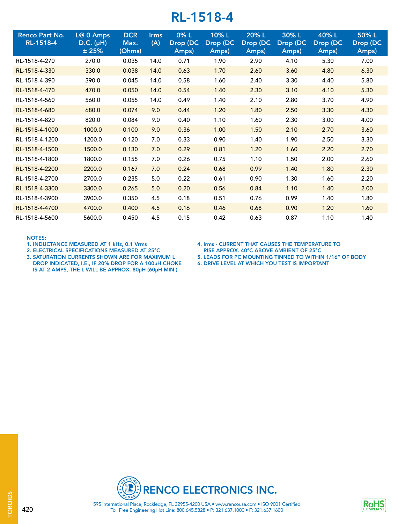| <b>Renco Part No.</b><br>RL-1518-4 | L@ 0 Amps<br>$D.C. (\muH)$<br>±25% | <b>DCR</b><br>Max.<br>(Ohms) | <b>Irms</b><br>(A) | $0\%$ L<br>Drop (DC<br>Amps) | 10% L<br>Drop (DC<br>Amps) | 20% L<br>Drop (DC<br>Amps) | 30% L<br>Drop (DC<br>Amps) | 40% L<br>Drop (DC<br>Amps) | 50%L<br>Drop (DC<br>Amps) |
|------------------------------------|------------------------------------|------------------------------|--------------------|------------------------------|----------------------------|----------------------------|----------------------------|----------------------------|---------------------------|
| RL-1518-4-270                      | 270.0                              | 0.035                        | 14.0               | 0.71                         | 1.90                       | 2.90                       | 4.10                       | 5.30                       | 7.00                      |
| RL-1518-4-330                      | 330.0                              | 0.038                        | 14.0               | 0.63                         | 1.70                       | 2.60                       | 3.60                       | 4.80                       | 6.30                      |
| RL-1518-4-390                      | 390.0                              | 0.045                        | 14.0               | 0.58                         | 1.60                       | 2.40                       | 3.30                       | 4.40                       | 5.80                      |
| RL-1518-4-470                      | 470.0                              | 0.050                        | 14.0               | 0.54                         | 1.40                       | 2.30                       | 3.10                       | 4.10                       | 5.30                      |
| RL-1518-4-560                      | 560.0                              | 0.055                        | 14.0               | 0.49                         | 1.40                       | 2.10                       | 2.80                       | 3.70                       | 4.90                      |
| RL-1518-4-680                      | 680.0                              | 0.074                        | 9.0                | 0.44                         | 1.20                       | 1.80                       | 2.50                       | 3.30                       | 4.30                      |
| RL-1518-4-820                      | 820.0                              | 0.084                        | 9.0                | 0.40                         | 1.10                       | 1.60                       | 2.30                       | 3.00                       | 4.00                      |
| RL-1518-4-1000                     | 1000.0                             | 0.100                        | 9.0                | 0.36                         | 1.00                       | 1.50                       | 2.10                       | 2.70                       | 3.60                      |
| RL-1518-4-1200                     | 1200.0                             | 0.120                        | 7.0                | 0.33                         | 0.90                       | 1.40                       | 1.90                       | 2.50                       | 3.30                      |
| RL-1518-4-1500                     | 1500.0                             | 0.130                        | 7.0                | 0.29                         | 0.81                       | 1.20                       | 1.60                       | 2.20                       | 2.70                      |
| RL-1518-4-1800                     | 1800.0                             | 0.155                        | 7.0                | 0.26                         | 0.75                       | 1.10                       | 1.50                       | 2.00                       | 2.60                      |
| RL-1518-4-2200                     | 2200.0                             | 0.167                        | 7.0                | 0.24                         | 0.68                       | 0.99                       | 1.40                       | 1.80                       | 2.30                      |
| RL-1518-4-2700                     | 2700.0                             | 0.235                        | 5.0                | 0.22                         | 0.61                       | 0.90                       | 1.30                       | 1.60                       | 2.20                      |
| RL-1518-4-3300                     | 3300.0                             | 0.265                        | 5.0                | 0.20                         | 0.56                       | 0.84                       | 1.10                       | 1.40                       | 2.00                      |
| RL-1518-4-3900                     | 3900.0                             | 0.350                        | 4.5                | 0.18                         | 0.51                       | 0.76                       | 0.99                       | 1.40                       | 1.80                      |
| RL-1518-4-4700                     | 4700.0                             | 0.400                        | 4.5                | 0.16                         | 0.46                       | 0.68                       | 0.90                       | 1.20                       | 1.60                      |
| RL-1518-4-5600                     | 5600.0                             | 0.450                        | 4.5                | 0.15                         | 0.42                       | 0.63                       | 0.87                       | 1.10                       | 1.40                      |

#### NOTES:

- 1. INDUCTANCE MEASURED AT 1 kHz, 0.1 Vrms
- 2. ELECTRICAL SPECIFICATIONS MEASURED AT 25ºC
- 3. SATURATION CURRENTS SHOWN ARE FOR MAXIMUM L
- DROP INDICATED, I.E., IF 20% DROP FOR A 100µH CHOKE IS AT 2 AMPS, THE L WILL BE APPROX. 80µH (60µH MIN.)
- 4. Irms CURRENT THAT CAUSES THE TEMPERATURE TO RISE APPROX. 40ºC ABOVE AMBIENT OF 25ºC
- 5. LEADS FOR PC MOUNTING TINNED TO WITHIN 1/16" OF BODY
- 6. DRIVE LEVEL AT WHICH YOU TEST IS IMPORTANT

RENCO ELECTRONICS INC.